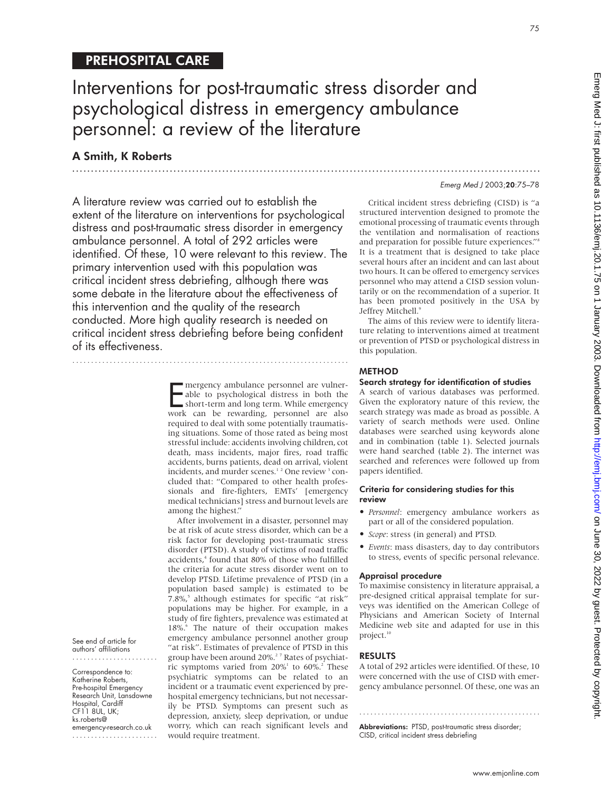## PREHOSPITAL CARE

# Interventions for post-traumatic stress disorder and psychological distress in emergency ambulance personnel: a review of the literature

.............................................................................................................................

## A Smith, K Roberts

See end of article for authors' affiliations ....................... Correspondence to: Katherine Roberts, Pre-hospital Emergency Research Unit, Lansdowne Hospital, Cardiff CF11 8UL, UK; ks.roberts@

emergency-research.co.uk .......................

A literature review was carried out to establish the extent of the literature on interventions for psychological distress and post-traumatic stress disorder in emergency ambulance personnel. A total of 292 articles were identified. Of these, 10 were relevant to this review. The primary intervention used with this population was critical incident stress debriefing, although there was some debate in the literature about the effectiveness of this intervention and the quality of the research conducted. More high quality research is needed on critical incident stress debriefing before being confident of its effectiveness.

> mergency ambulance personnel are vulner-<br>able to psychological distress in both the<br>short-term and long term. While emergency<br>work can be rewarding, personnel are also mergency ambulance personnel are vulnerable to psychological distress in both the short-term and long term. While emergency required to deal with some potentially traumatising situations. Some of those rated as being most stressful include: accidents involving children, cot death, mass incidents, major fires, road traffic accidents, burns patients, dead on arrival, violent incidents, and murder scenes.<sup>12</sup> One review<sup>3</sup> concluded that: "Compared to other health professionals and fire-fighters, EMTs' [emergency medical technicians] stress and burnout levels are among the highest."

> After involvement in a disaster, personnel may be at risk of acute stress disorder, which can be a risk factor for developing post-traumatic stress disorder (PTSD). A study of victims of road traffic accidents,<sup>4</sup> found that 80% of those who fulfilled the criteria for acute stress disorder went on to develop PTSD. Lifetime prevalence of PTSD (in a population based sample) is estimated to be 7.8%,<sup>5</sup> although estimates for specific "at risk" populations may be higher. For example, in a study of fire fighters, prevalence was estimated at 18%.<sup>6</sup> The nature of their occupation makes emergency ambulance personnel another group "at risk". Estimates of prevalence of PTSD in this group have been around 20%.2 7 Rates of psychiatric symptoms varied from  $20\%$ <sup>1</sup> to  $60\%$ <sup>2</sup>. These psychiatric symptoms can be related to an incident or a traumatic event experienced by prehospital emergency technicians, but not necessarily be PTSD. Symptoms can present such as depression, anxiety, sleep deprivation, or undue worry, which can reach significant levels and would require treatment.

#### Emerg Med J 2003;20:75–78

Critical incident stress debriefing (CISD) is "a structured intervention designed to promote the emotional processing of traumatic events through the ventilation and normalisation of reactions and preparation for possible future experiences."8 It is a treatment that is designed to take place several hours after an incident and can last about two hours. It can be offered to emergency services personnel who may attend a CISD session voluntarily or on the recommendation of a superior. It has been promoted positively in the USA by Jeffrey Mitchell.9

The aims of this review were to identify literature relating to interventions aimed at treatment or prevention of PTSD or psychological distress in this population.

#### METHOD

#### Search strategy for identification of studies

A search of various databases was performed. Given the exploratory nature of this review, the search strategy was made as broad as possible. A variety of search methods were used. Online databases were searched using keywords alone and in combination (table 1). Selected journals were hand searched (table 2). The internet was searched and references were followed up from papers identified.

#### Criteria for considering studies for this review

- *Personnel*: emergency ambulance workers as part or all of the considered population.
- *Scope*: stress (in general) and PTSD.
- *Events*: mass disasters, day to day contributors to stress, events of specific personal relevance.

### Appraisal procedure

To maximise consistency in literature appraisal, a pre-designed critical appraisal template for surveys was identified on the American College of Physicians and American Society of Internal Medicine web site and adapted for use in this project.<sup>10</sup>

#### RESULTS

A total of 292 articles were identified. Of these, 10 were concerned with the use of CISD with emergency ambulance personnel. Of these, one was an

.................................................

Abbreviations: PTSD, post-traumatic stress disorder; CISD, critical incident stress debriefing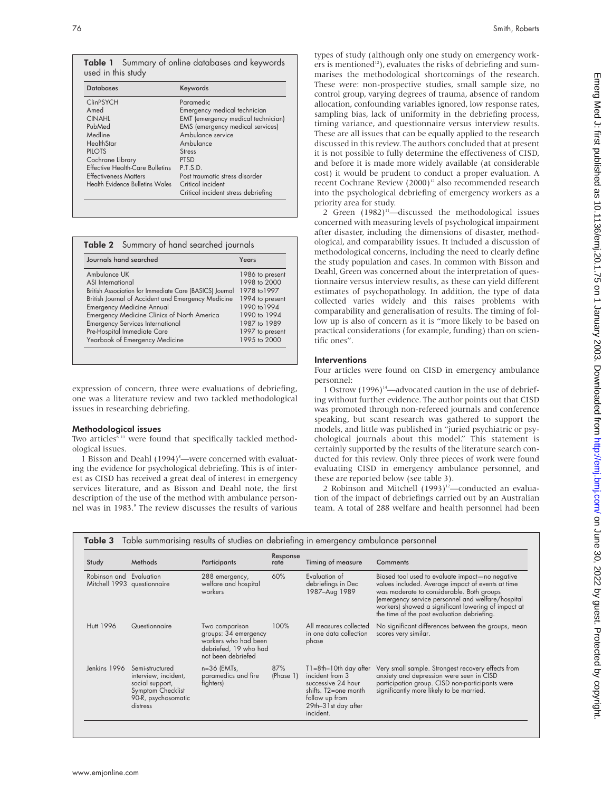Table 1 Summary of online databases and keywords used in this study

| <b>Databases</b>                                                                                                                                                                                                               | Keywords                                                                                                                                                                                                                                                 |
|--------------------------------------------------------------------------------------------------------------------------------------------------------------------------------------------------------------------------------|----------------------------------------------------------------------------------------------------------------------------------------------------------------------------------------------------------------------------------------------------------|
| ClinPSYCH<br>Amed<br><b>CINAHL</b><br>PubMed<br>Medline<br><b>HealthStar</b><br><b>PILOTS</b><br>Cochrane Library<br><b>Effective Health-Care Bulletins</b><br><b>Effectiveness Matters</b><br>Health Evidence Bulletins Wales | Paramedic<br>Emergency medical technician<br>EMT (emergency medical technician)<br>EMS (emergency medical services)<br>Ambulance service<br>Ambulance<br><b>Stress</b><br><b>PTSD</b><br>P.T.S.D.<br>Post traumatic stress disorder<br>Critical incident |
|                                                                                                                                                                                                                                | Critical incident stress debriefing                                                                                                                                                                                                                      |

| <b>Table 2</b> Summary of hand searched journals        |                 |  |  |  |
|---------------------------------------------------------|-----------------|--|--|--|
| Journals hand searched                                  | Years           |  |  |  |
| Ambulance UK                                            | 1986 to present |  |  |  |
| ASI International                                       | 1998 to 2000    |  |  |  |
| British Association for Immediate Care (BASICS) Journal | 1978 to 1997    |  |  |  |
| British Journal of Accident and Emergency Medicine      | 1994 to present |  |  |  |
| <b>Emergency Medicine Annual</b>                        | 1990 to 1994    |  |  |  |
| Emergency Medicine Clinics of North America             | 1990 to 1994    |  |  |  |
| <b>Emergency Services International</b>                 | 1987 to 1989    |  |  |  |
| Pre-Hospital Immediate Care                             | 1997 to present |  |  |  |
| Yearbook of Emergency Medicine                          | 1995 to 2000    |  |  |  |

expression of concern, three were evaluations of debriefing, one was a literature review and two tackled methodological issues in researching debriefing.

#### Methodological issues

Two articles $s<sup>11</sup>$  were found that specifically tackled methodological issues.

1 Bisson and Deahl  $(1994)^{8}$ —were concerned with evaluating the evidence for psychological debriefing. This is of interest as CISD has received a great deal of interest in emergency services literature, and as Bisson and Deahl note, the first description of the use of the method with ambulance personnel was in 1983.<sup>9</sup> The review discusses the results of various

types of study (although only one study on emergency workers is mentioned<sup>12</sup>), evaluates the risks of debriefing and summarises the methodological shortcomings of the research. These were: non-prospective studies, small sample size, no control group, varying degrees of trauma, absence of random allocation, confounding variables ignored, low response rates, sampling bias, lack of uniformity in the debriefing process, timing variance, and questionnaire versus interview results. These are all issues that can be equally applied to the research discussed in this review. The authors concluded that at present it is not possible to fully determine the effectiveness of CISD, and before it is made more widely available (at considerable cost) it would be prudent to conduct a proper evaluation. A recent Cochrane Review (2000)<sup>12</sup> also recommended research into the psychological debriefing of emergency workers as a priority area for study.

2 Green  $(1982)^{11}$ —discussed the methodological issues concerned with measuring levels of psychological impairment after disaster, including the dimensions of disaster, methodological, and comparability issues. It included a discussion of methodological concerns, including the need to clearly define the study population and cases. In common with Bisson and Deahl, Green was concerned about the interpretation of questionnaire versus interview results, as these can yield different estimates of psychopathology. In addition, the type of data collected varies widely and this raises problems with comparability and generalisation of results. The timing of follow up is also of concern as it is "more likely to be based on practical considerations (for example, funding) than on scientific ones".

#### Interventions

Four articles were found on CISD in emergency ambulance personnel:

1 Ostrow (1996)<sup>14</sup>—advocated caution in the use of debriefing without further evidence. The author points out that CISD was promoted through non-refereed journals and conference speaking, but scant research was gathered to support the models, and little was published in "juried psychiatric or psychological journals about this model." This statement is certainly supported by the results of the literature search conducted for this review. Only three pieces of work were found evaluating CISD in emergency ambulance personnel, and these are reported below (see table 3).

2 Robinson and Mitchell  $(1993)^{12}$ —conducted an evaluation of the impact of debriefings carried out by an Australian team. A total of 288 welfare and health personnel had been

| Study                                                  | Methods                                                                                                            | Participants                                                                                                  | Response<br>rate | Timing of measure                                                                                                                                 | Comments                                                                                                                                                                                                                                                                                                     |
|--------------------------------------------------------|--------------------------------------------------------------------------------------------------------------------|---------------------------------------------------------------------------------------------------------------|------------------|---------------------------------------------------------------------------------------------------------------------------------------------------|--------------------------------------------------------------------------------------------------------------------------------------------------------------------------------------------------------------------------------------------------------------------------------------------------------------|
| Robinson and Evaluation<br>Mitchell 1993 questionnaire |                                                                                                                    | 288 emergency,<br>welfare and hospital<br>workers                                                             | 60%              | Evaluation of<br>debriefings in Dec<br>1987-Aug 1989                                                                                              | Biased tool used to evaluate impact-no negative<br>values included. Average impact of events at time<br>was moderate to considerable. Both groups<br>(emergency service personnel and welfare/hospital<br>workers) showed a significant lowering of impact at<br>the time of the post evaluation debriefing. |
| Hutt 1996                                              | Questionnaire                                                                                                      | Two comparison<br>groups: 34 emergency<br>workers who had been<br>debriefed, 19 who had<br>not been debriefed | 100%             | All measures collected<br>in one data collection<br>phase                                                                                         | No significant differences between the groups, mean<br>scores very similar.                                                                                                                                                                                                                                  |
| Jenkins 1996                                           | Semi-structured<br>interview, incident,<br>social support,<br>Symptom Checklist<br>90-R, psychosomatic<br>distress | n=36 (EMTs,<br>paramedics and fire<br>fighters)                                                               | 87%<br>(Phase 1) | $T = 8th - 10th$ day after<br>incident from 3<br>successive 24 hour<br>shifts. T2=one month<br>follow up from<br>29th-31st day after<br>incident. | Very small sample. Strongest recovery effects from<br>anxiety and depression were seen in CISD<br>participation group. CISD non-participants were<br>significantly more likely to be married.                                                                                                                |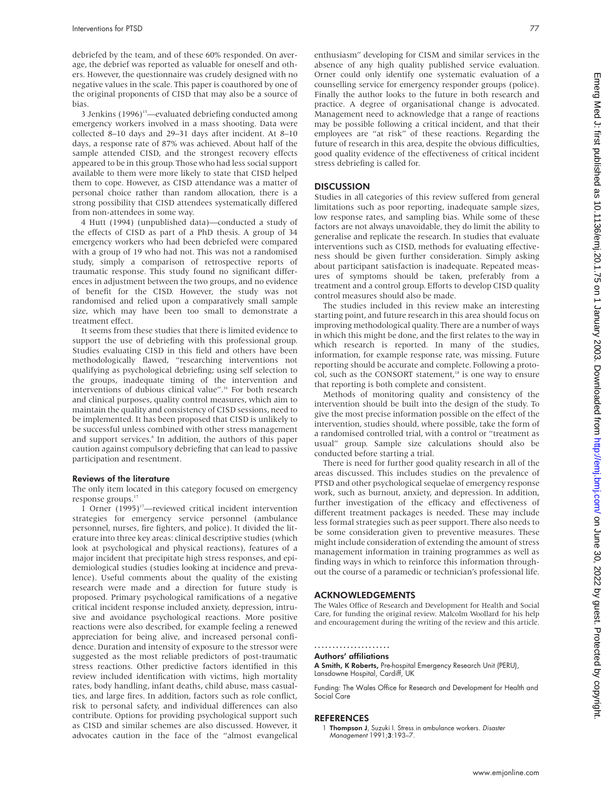debriefed by the team, and of these 60% responded. On average, the debrief was reported as valuable for oneself and others. However, the questionnaire was crudely designed with no negative values in the scale. This paper is coauthored by one of the original proponents of CISD that may also be a source of bias.

3 Jenkins (1996)<sup>15</sup>—evaluated debriefing conducted among emergency workers involved in a mass shooting. Data were collected 8–10 days and 29–31 days after incident. At 8–10 days, a response rate of 87% was achieved. About half of the sample attended CISD, and the strongest recovery effects appeared to be in this group. Those who had less social support available to them were more likely to state that CISD helped them to cope. However, as CISD attendance was a matter of personal choice rather than random allocation, there is a strong possibility that CISD attendees systematically differed from non-attendees in some way.

4 Hutt (1994) (unpublished data)—conducted a study of the effects of CISD as part of a PhD thesis. A group of 34 emergency workers who had been debriefed were compared with a group of 19 who had not. This was not a randomised study, simply a comparison of retrospective reports of traumatic response. This study found no significant differences in adjustment between the two groups, and no evidence of benefit for the CISD. However, the study was not randomised and relied upon a comparatively small sample size, which may have been too small to demonstrate a treatment effect.

It seems from these studies that there is limited evidence to support the use of debriefing with this professional group. Studies evaluating CISD in this field and others have been methodologically flawed, "researching interventions not qualifying as psychological debriefing; using self selection to the groups, inadequate timing of the intervention and interventions of dubious clinical value".<sup>16</sup> For both research and clinical purposes, quality control measures, which aim to maintain the quality and consistency of CISD sessions, need to be implemented. It has been proposed that CISD is unlikely to be successful unless combined with other stress management and support services.<sup>8</sup> In addition, the authors of this paper caution against compulsory debriefing that can lead to passive participation and resentment.

#### Reviews of the literature

The only item located in this category focused on emergency response groups.<sup>17</sup>

1 Orner (1995)<sup>17</sup>—reviewed critical incident intervention strategies for emergency service personnel (ambulance personnel, nurses, fire fighters, and police). It divided the literature into three key areas: clinical descriptive studies (which look at psychological and physical reactions), features of a major incident that precipitate high stress responses, and epidemiological studies (studies looking at incidence and prevalence). Useful comments about the quality of the existing research were made and a direction for future study is proposed. Primary psychological ramifications of a negative critical incident response included anxiety, depression, intrusive and avoidance psychological reactions. More positive reactions were also described, for example feeling a renewed appreciation for being alive, and increased personal confidence. Duration and intensity of exposure to the stressor were suggested as the most reliable predictors of post-traumatic stress reactions. Other predictive factors identified in this review included identification with victims, high mortality rates, body handling, infant deaths, child abuse, mass casualties, and large fires. In addition, factors such as role conflict, risk to personal safety, and individual differences can also contribute. Options for providing psychological support such as CISD and similar schemes are also discussed. However, it advocates caution in the face of the "almost evangelical

enthusiasm" developing for CISM and similar services in the absence of any high quality published service evaluation. Orner could only identify one systematic evaluation of a counselling service for emergency responder groups (police). Finally the author looks to the future in both research and practice. A degree of organisational change is advocated. Management need to acknowledge that a range of reactions may be possible following a critical incident, and that their employees are "at risk" of these reactions. Regarding the future of research in this area, despite the obvious difficulties, good quality evidence of the effectiveness of critical incident stress debriefing is called for.

#### **DISCUSSION**

Studies in all categories of this review suffered from general limitations such as poor reporting, inadequate sample sizes, low response rates, and sampling bias. While some of these factors are not always unavoidable, they do limit the ability to generalise and replicate the research. In studies that evaluate interventions such as CISD, methods for evaluating effectiveness should be given further consideration. Simply asking about participant satisfaction is inadequate. Repeated measures of symptoms should be taken, preferably from a treatment and a control group. Efforts to develop CISD quality control measures should also be made.

The studies included in this review make an interesting starting point, and future research in this area should focus on improving methodological quality. There are a number of ways in which this might be done, and the first relates to the way in which research is reported. In many of the studies, information, for example response rate, was missing. Future reporting should be accurate and complete. Following a protocol, such as the CONSORT statement,<sup>18</sup> is one way to ensure that reporting is both complete and consistent.

Methods of monitoring quality and consistency of the intervention should be built into the design of the study. To give the most precise information possible on the effect of the intervention, studies should, where possible, take the form of a randomised controlled trial, with a control or "treatment as usual" group. Sample size calculations should also be conducted before starting a trial.

There is need for further good quality research in all of the areas discussed. This includes studies on the prevalence of PTSD and other psychological sequelae of emergency response work, such as burnout, anxiety, and depression. In addition, further investigation of the efficacy and effectiveness of different treatment packages is needed. These may include less formal strategies such as peer support. There also needs to be some consideration given to preventive measures. These might include consideration of extending the amount of stress management information in training programmes as well as finding ways in which to reinforce this information throughout the course of a paramedic or technician's professional life.

#### ACKNOWLEDGEMENTS

The Wales Office of Research and Development for Health and Social Care, for funding the original review. Malcolm Woollard for his help and encouragement during the writing of the review and this article.

#### .....................

Authors' affiliations

#### A Smith, K Roberts, Pre-hospital Emergency Research Unit (PERU), Lansdowne Hospital, Cardiff, UK

Funding: The Wales Office for Research and Development for Health and Social Care

#### REFERENCES

1 Thompson J, Suzuki I. Stress in ambulance workers. Disaster Management 1991;3:193–7.